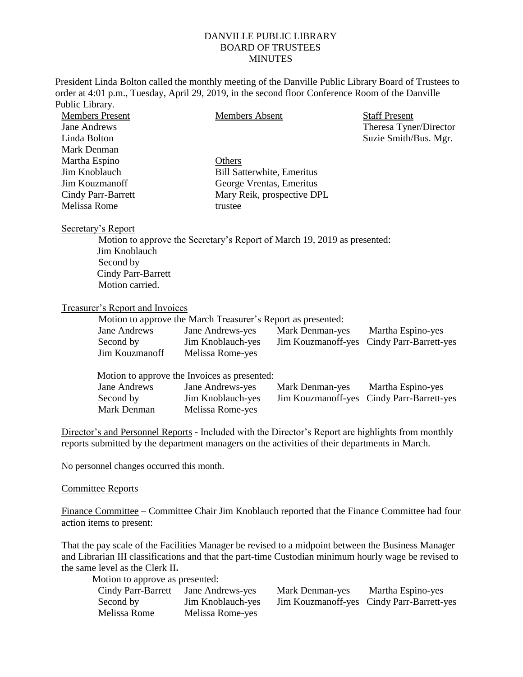## DANVILLE PUBLIC LIBRARY BOARD OF TRUSTEES **MINUTES**

President Linda Bolton called the monthly meeting of the Danville Public Library Board of Trustees to order at 4:01 p.m., Tuesday, April 29, 2019, in the second floor Conference Room of the Danville Public Library.

| <b>Members Present</b> | <b>Members Absent</b>             | <b>Staff Present</b>   |
|------------------------|-----------------------------------|------------------------|
| Jane Andrews           |                                   | Theresa Tyner/Director |
| Linda Bolton           |                                   | Suzie Smith/Bus. Mgr.  |
| Mark Denman            |                                   |                        |
| Martha Espino          | Others                            |                        |
| Jim Knoblauch          | <b>Bill Satterwhite, Emeritus</b> |                        |
| Jim Kouzmanoff         | George Vrentas, Emeritus          |                        |
| Cindy Parr-Barrett     | Mary Reik, prospective DPL        |                        |
| Melissa Rome           | trustee                           |                        |
|                        |                                   |                        |

## Secretary's Report

Motion to approve the Secretary's Report of March 19, 2019 as presented: Jim Knoblauch Second by Cindy Parr-Barrett Motion carried.

## Treasurer's Report and Invoices

Motion to approve the March Treasurer's Report as presented:

| Jane Andrews   | Jane Andrews-yes  | Mark Denman-yes | Martha Espino-yes                          |
|----------------|-------------------|-----------------|--------------------------------------------|
| Second by      | Jim Knoblauch-yes |                 | Jim Kouzman off-yes Cindy Parr-Barrett-yes |
| Jim Kouzmanoff | Melissa Rome-yes  |                 |                                            |

Motion to approve the Invoices as presented:

| Jane Andrews | Jane Andrews-yes  | Mark Denman-yes | Martha Espino-yes                          |
|--------------|-------------------|-----------------|--------------------------------------------|
| Second by    | Jim Knoblauch-yes |                 | Jim Kouzman off-yes Cindy Parr-Barrett-yes |
| Mark Denman  | Melissa Rome-yes  |                 |                                            |

Director's and Personnel Reports - Included with the Director's Report are highlights from monthly reports submitted by the department managers on the activities of their departments in March.

No personnel changes occurred this month.

## Committee Reports

Finance Committee – Committee Chair Jim Knoblauch reported that the Finance Committee had four action items to present:

That the pay scale of the Facilities Manager be revised to a midpoint between the Business Manager and Librarian III classifications and that the part-time Custodian minimum hourly wage be revised to the same level as the Clerk II**.** 

Motion to approve as presented:

| Cindy Parr-Barrett | Jane Andrews-yes  | Mark Denman-yes | Martha Espino-yes                          |
|--------------------|-------------------|-----------------|--------------------------------------------|
| Second by          | Jim Knoblauch-yes |                 | Jim Kouzman off-yes Cindy Parr-Barrett-yes |
| Melissa Rome       | Melissa Rome-yes  |                 |                                            |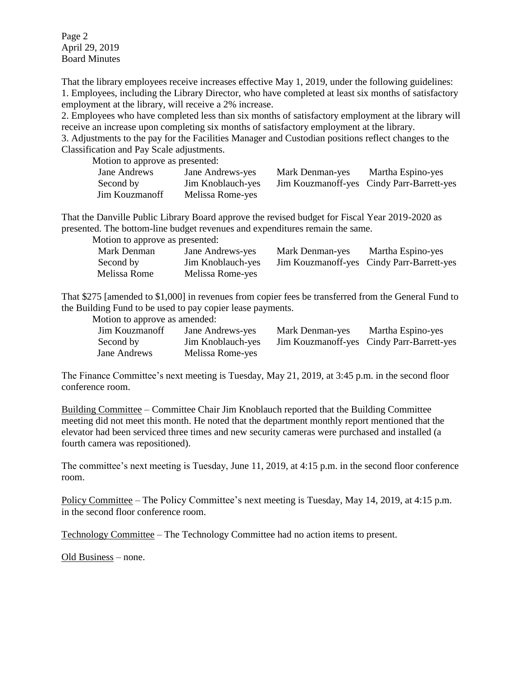Page 2 April 29, 2019 Board Minutes

That the library employees receive increases effective May 1, 2019, under the following guidelines: 1. Employees, including the Library Director, who have completed at least six months of satisfactory employment at the library, will receive a 2% increase.

2. Employees who have completed less than six months of satisfactory employment at the library will receive an increase upon completing six months of satisfactory employment at the library.

3. Adjustments to the pay for the Facilities Manager and Custodian positions reflect changes to the Classification and Pay Scale adjustments.

Motion to approve as presented:

| Jane Andrews          | Jane Andrews-yes  | Mark Denman-yes | Martha Espino-yes                          |
|-----------------------|-------------------|-----------------|--------------------------------------------|
| Second by             | Jim Knoblauch-yes |                 | Jim Kouzman off-yes Cindy Parr-Barrett-yes |
| <b>Jim Kouzmanoff</b> | Melissa Rome-yes  |                 |                                            |

That the Danville Public Library Board approve the revised budget for Fiscal Year 2019-2020 as presented. The bottom-line budget revenues and expenditures remain the same.

Motion to approve as presented:

| Mark Denman  | Jane Andrews-yes  | Mark Denman-yes | Martha Espino-yes                          |
|--------------|-------------------|-----------------|--------------------------------------------|
| Second by    | Jim Knoblauch-yes |                 | Jim Kouzman off-yes Cindy Parr-Barrett-yes |
| Melissa Rome | Melissa Rome-yes  |                 |                                            |

That \$275 [amended to \$1,000] in revenues from copier fees be transferred from the General Fund to the Building Fund to be used to pay copier lease payments.

Motion to approve as amended:

| <b>Jim Kouzmanoff</b> | Jane Andrews-yes  | Mark Denman-yes | Martha Espino-yes                          |
|-----------------------|-------------------|-----------------|--------------------------------------------|
| Second by             | Jim Knoblauch-yes |                 | Jim Kouzman off-yes Cindy Parr-Barrett-yes |
| Jane Andrews          | Melissa Rome-yes  |                 |                                            |

The Finance Committee's next meeting is Tuesday, May 21, 2019, at 3:45 p.m. in the second floor conference room.

Building Committee – Committee Chair Jim Knoblauch reported that the Building Committee meeting did not meet this month. He noted that the department monthly report mentioned that the elevator had been serviced three times and new security cameras were purchased and installed (a fourth camera was repositioned).

The committee's next meeting is Tuesday, June 11, 2019, at 4:15 p.m. in the second floor conference room.

Policy Committee – The Policy Committee's next meeting is Tuesday, May 14, 2019, at 4:15 p.m. in the second floor conference room.

Technology Committee – The Technology Committee had no action items to present.

Old Business – none.